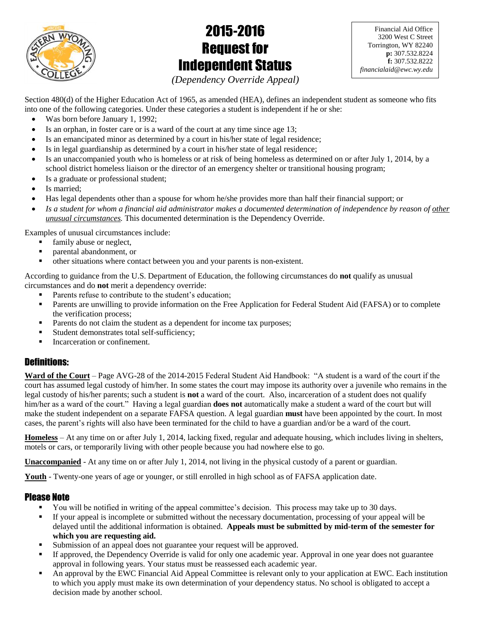

# 2015-2016 Request for Independent Status

Financial Aid Office 3200 West C Street Torrington, WY 82240 **p:** 307.532.8224 **f:** 307.532.8222 *financialaid@ewc.wy.edu*

*(Dependency Override Appeal)*

Section 480(d) of the Higher Education Act of 1965, as amended (HEA), defines an independent student as someone who fits into one of the following categories. Under these categories a student is independent if he or she:

- Was born before January 1, 1992;
- Is an orphan, in foster care or is a ward of the court at any time since age 13;
- Is an emancipated minor as determined by a court in his/her state of legal residence;
- Is in legal guardianship as determined by a court in his/her state of legal residence;
- Is an unaccompanied youth who is homeless or at risk of being homeless as determined on or after July 1, 2014, by a school district homeless liaison or the director of an emergency shelter or transitional housing program;
- Is a graduate or professional student;
- Is married;
- Has legal dependents other than a spouse for whom he/she provides more than half their financial support; or
- *Is a student for whom a financial aid administrator makes a documented determination of independence by reason of other unusual circumstances.* This documented determination is the Dependency Override.

Examples of unusual circumstances include:

- family abuse or neglect,
- parental abandonment, or
- other situations where contact between you and your parents is non-existent.

According to guidance from the U.S. Department of Education, the following circumstances do **not** qualify as unusual circumstances and do **not** merit a dependency override:

- Parents refuse to contribute to the student's education;
- **Parents are unwilling to provide information on the Free Application for Federal Student Aid (FAFSA) or to complete** the verification process;
- Parents do not claim the student as a dependent for income tax purposes;
- Student demonstrates total self-sufficiency;
- Incarceration or confinement.

# Definitions:

**Ward of the Court** – Page AVG-28 of the 2014-2015 Federal Student Aid Handbook: "A student is a ward of the court if the court has assumed legal custody of him/her. In some states the court may impose its authority over a juvenile who remains in the legal custody of his/her parents; such a student is **not** a ward of the court. Also, incarceration of a student does not qualify him/her as a ward of the court." Having a legal guardian **does not** automatically make a student a ward of the court but will make the student independent on a separate FAFSA question. A legal guardian **must** have been appointed by the court. In most cases, the parent's rights will also have been terminated for the child to have a guardian and/or be a ward of the court.

**Homeless** – At any time on or after July 1, 2014, lacking fixed, regular and adequate housing, which includes living in shelters, motels or cars, or temporarily living with other people because you had nowhere else to go.

**Unaccompanied** - At any time on or after July 1, 2014, not living in the physical custody of a parent or guardian.

**Youth** - Twenty-one years of age or younger, or still enrolled in high school as of FAFSA application date.

# Please Note

- You will be notified in writing of the appeal committee's decision. This process may take up to 30 days.
- If your appeal is incomplete or submitted without the necessary documentation, processing of your appeal will be delayed until the additional information is obtained. **Appeals must be submitted by mid-term of the semester for which you are requesting aid.**
- Submission of an appeal does not guarantee your request will be approved.
- If approved, the Dependency Override is valid for only one academic year. Approval in one year does not guarantee approval in following years. Your status must be reassessed each academic year.
- An approval by the EWC Financial Aid Appeal Committee is relevant only to your application at EWC. Each institution to which you apply must make its own determination of your dependency status. No school is obligated to accept a decision made by another school.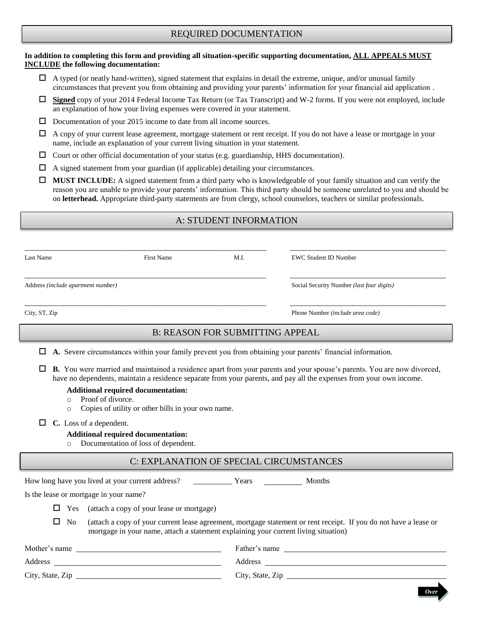## REQUIRED DOCUMENTATION

#### **In addition to completing this form and providing all situation-specific supporting documentation, ALL APPEALS MUST INCLUDE the following documentation:**

- $\Box$  A typed (or neatly hand-written), signed statement that explains in detail the extreme, unique, and/or unusual family circumstances that prevent you from obtaining and providing your parents' information for your financial aid application .
- **Signed** copy of your 2014 Federal Income Tax Return (or Tax Transcript) and W-2 forms. If you were not employed, include an explanation of how your living expenses were covered in your statement.
- $\Box$  Documentation of your 2015 income to date from all income sources.
- $\Box$  A copy of your current lease agreement, mortgage statement or rent receipt. If you do not have a lease or mortgage in your name, include an explanation of your current living situation in your statement.
- $\Box$  Court or other official documentation of your status (e.g. guardianship, HHS documentation).
- $\Box$  A signed statement from your guardian (if applicable) detailing your circumstances.
- **MUST INCLUDE:** A signed statement from a third party who is knowledgeable of your family situation and can verify the reason you are unable to provide your parents' information. This third party should be someone unrelated to you and should be on **letterhead.** Appropriate third-party statements are from clergy, school counselors, teachers or similar professionals.

## A: STUDENT INFORMATION

| Last Name                                                                                                            | <b>First Name</b> | M.I.                                   | <b>EWC Student ID Number</b>              |
|----------------------------------------------------------------------------------------------------------------------|-------------------|----------------------------------------|-------------------------------------------|
| Address (include apartment number)                                                                                   |                   |                                        | Social Security Number (last four digits) |
| City, ST, Zip                                                                                                        |                   |                                        | Phone Number (include area code)          |
|                                                                                                                      |                   | <b>B: REASON FOR SUBMITTING APPEAL</b> |                                           |
| A. Severe circumstances within your family prevent you from obtaining your parents' financial information.<br>$\Box$ |                   |                                        |                                           |

 **B.** You were married and maintained a residence apart from your parents and your spouse's parents. You are now divorced, have no dependents, maintain a residence separate from your parents, and pay all the expenses from your own income.

#### **Additional required documentation:**

- o Proof of divorce.
- o Copies of utility or other bills in your own name.
- **C.** Loss of a dependent.

#### **Additional required documentation:**

o Documentation of loss of dependent.

## C: EXPLANATION OF SPECIAL CIRCUMSTANCES

|            | How long have you lived at your current address?<br><b>Months</b><br>Years                                                                                                                               |  |
|------------|----------------------------------------------------------------------------------------------------------------------------------------------------------------------------------------------------------|--|
|            | Is the lease or mortgage in your name?                                                                                                                                                                   |  |
| $\Box$ Yes | (attach a copy of your lease or mortgage)                                                                                                                                                                |  |
| $\Box$ No  | (attach a copy of your current lease agreement, mortgage statement or rent receipt. If you do not have a lease or<br>mortgage in your name, attach a statement explaining your current living situation) |  |

| Mother's name    | Father's name    |
|------------------|------------------|
| Address          | Address          |
| City, State, Zip | City, State, Zip |